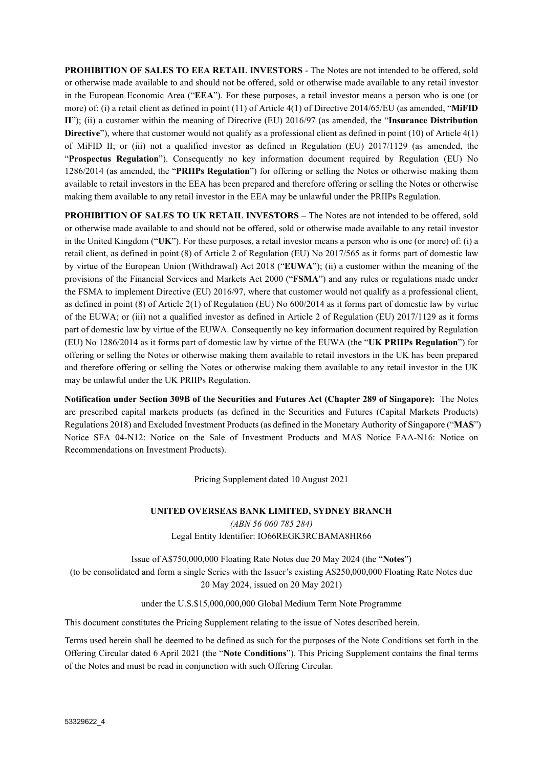**PROHIBITION OF SALES TO EEA RETAIL INVESTORS** - The Notes are not intended to be offered, sold or otherwise made available to and should not be offered, sold or otherwise made available to any retail investor in the European Economic Area ("**EEA**"). For these purposes, a retail investor means a person who is one (or more) of: (i) a retail client as defined in point (11) of Article 4(1) of Directive 2014/65/EU (as amended, "**MiFID II**"); (ii) a customer within the meaning of Directive (EU) 2016/97 (as amended, the "**Insurance Distribution Directive**"), where that customer would not qualify as a professional client as defined in point (10) of Article 4(1) of MiFID II; or (iii) not a qualified investor as defined in Regulation (EU) 2017/1129 (as amended, the "**Prospectus Regulation**"). Consequently no key information document required by Regulation (EU) No 1286/2014 (as amended, the "**PRIIPs Regulation**") for offering or selling the Notes or otherwise making them available to retail investors in the EEA has been prepared and therefore offering or selling the Notes or otherwise making them available to any retail investor in the EEA may be unlawful under the PRIIPs Regulation.

**PROHIBITION OF SALES TO UK RETAIL INVESTORS – The Notes are not intended to be offered, sold** or otherwise made available to and should not be offered, sold or otherwise made available to any retail investor in the United Kingdom ("**UK**"). For these purposes, a retail investor means a person who is one (or more) of: (i) a retail client, as defined in point (8) of Article 2 of Regulation (EU) No 2017/565 as it forms part of domestic law by virtue of the European Union (Withdrawal) Act 2018 ("**EUWA**"); (ii) a customer within the meaning of the provisions of the Financial Services and Markets Act 2000 ("**FSMA**") and any rules or regulations made under the FSMA to implement Directive (EU) 2016/97, where that customer would not qualify as a professional client, as defined in point (8) of Article 2(1) of Regulation (EU) No 600/2014 as it forms part of domestic law by virtue of the EUWA; or (iii) not a qualified investor as defined in Article 2 of Regulation (EU) 2017/1129 as it forms part of domestic law by virtue of the EUWA. Consequently no key information document required by Regulation (EU) No 1286/2014 as it forms part of domestic law by virtue of the EUWA (the "**UK PRIIPs Regulation**") for offering or selling the Notes or otherwise making them available to retail investors in the UK has been prepared and therefore offering or selling the Notes or otherwise making them available to any retail investor in the UK may be unlawful under the UK PRIIPs Regulation.

**Notification under Section 309B of the Securities and Futures Act (Chapter 289 of Singapore):** The Notes are prescribed capital markets products (as defined in the Securities and Futures (Capital Markets Products) Regulations 2018) and Excluded Investment Products (as defined in the Monetary Authority of Singapore ("**MAS**") Notice SFA 04-N12: Notice on the Sale of Investment Products and MAS Notice FAA-N16: Notice on Recommendations on Investment Products).

Pricing Supplement dated 10 August 2021

**UNITED OVERSEAS BANK LIMITED, SYDNEY BRANCH**  *(ABN 56 060 785 284)*  Legal Entity Identifier: IO66REGK3RCBAMA8HR66

Issue of A\$750,000,000 Floating Rate Notes due 20 May 2024 (the "**Notes**") (to be consolidated and form a single Series with the Issuer's existing A\$250,000,000 Floating Rate Notes due 20 May 2024, issued on 20 May 2021)

under the U.S.\$15,000,000,000 Global Medium Term Note Programme

This document constitutes the Pricing Supplement relating to the issue of Notes described herein.

Terms used herein shall be deemed to be defined as such for the purposes of the Note Conditions set forth in the Offering Circular dated 6 April 2021 (the "**Note Conditions**"). This Pricing Supplement contains the final terms of the Notes and must be read in conjunction with such Offering Circular.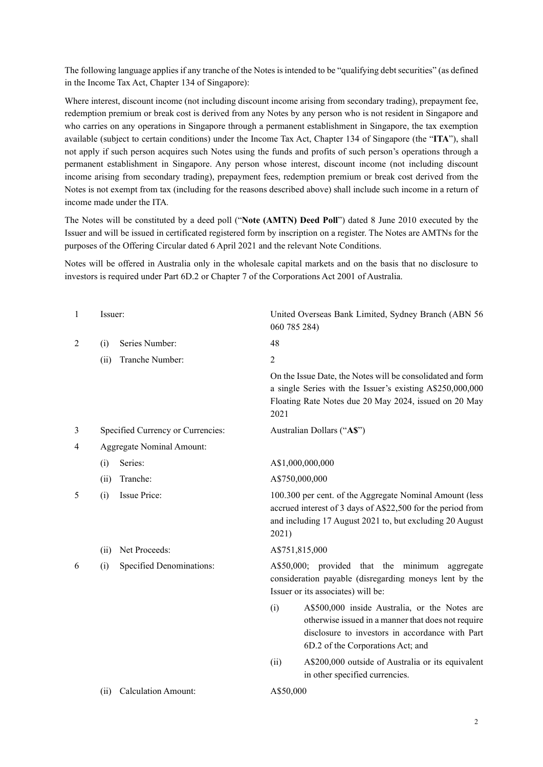The following language applies if any tranche of the Notes is intended to be "qualifying debt securities" (as defined in the Income Tax Act, Chapter 134 of Singapore):

Where interest, discount income (not including discount income arising from secondary trading), prepayment fee, redemption premium or break cost is derived from any Notes by any person who is not resident in Singapore and who carries on any operations in Singapore through a permanent establishment in Singapore, the tax exemption available (subject to certain conditions) under the Income Tax Act, Chapter 134 of Singapore (the "**ITA**"), shall not apply if such person acquires such Notes using the funds and profits of such person's operations through a permanent establishment in Singapore. Any person whose interest, discount income (not including discount income arising from secondary trading), prepayment fees, redemption premium or break cost derived from the Notes is not exempt from tax (including for the reasons described above) shall include such income in a return of income made under the ITA*.*

The Notes will be constituted by a deed poll ("**Note (AMTN) Deed Poll**") dated 8 June 2010 executed by the Issuer and will be issued in certificated registered form by inscription on a register. The Notes are AMTNs for the purposes of the Offering Circular dated 6 April 2021 and the relevant Note Conditions.

Notes will be offered in Australia only in the wholesale capital markets and on the basis that no disclosure to investors is required under Part 6D.2 or Chapter 7 of the Corporations Act 2001 of Australia.

| $\mathbf{1}$ | Issuer:                            | United Overseas Bank Limited, Sydney Branch (ABN 56<br>060 785 284)                                                                                                                                |  |
|--------------|------------------------------------|----------------------------------------------------------------------------------------------------------------------------------------------------------------------------------------------------|--|
| 2            | Series Number:<br>(i)              | 48                                                                                                                                                                                                 |  |
|              | Tranche Number:<br>(ii)            | $\overline{2}$                                                                                                                                                                                     |  |
|              |                                    | On the Issue Date, the Notes will be consolidated and form<br>a single Series with the Issuer's existing A\$250,000,000<br>Floating Rate Notes due 20 May 2024, issued on 20 May<br>2021           |  |
| 3            | Specified Currency or Currencies:  | Australian Dollars ("A\$")                                                                                                                                                                         |  |
| 4            | Aggregate Nominal Amount:          |                                                                                                                                                                                                    |  |
|              | Series:<br>(i)                     | A\$1,000,000,000                                                                                                                                                                                   |  |
|              | Tranche:<br>(ii)                   | A\$750,000,000                                                                                                                                                                                     |  |
| 5            | Issue Price:<br>(i)                | 100.300 per cent. of the Aggregate Nominal Amount (less<br>accrued interest of 3 days of A\$22,500 for the period from<br>and including 17 August 2021 to, but excluding 20 August<br>2021)        |  |
|              | Net Proceeds:<br>(ii)              | A\$751,815,000                                                                                                                                                                                     |  |
| 6            | Specified Denominations:<br>(i)    | A\$50,000; provided that the minimum aggregate<br>consideration payable (disregarding moneys lent by the<br>Issuer or its associates) will be:                                                     |  |
|              |                                    | A\$500,000 inside Australia, or the Notes are<br>(i)<br>otherwise issued in a manner that does not require<br>disclosure to investors in accordance with Part<br>6D.2 of the Corporations Act; and |  |
|              |                                    | A\$200,000 outside of Australia or its equivalent<br>(ii)<br>in other specified currencies.                                                                                                        |  |
|              | <b>Calculation Amount:</b><br>(ii) | A\$50,000                                                                                                                                                                                          |  |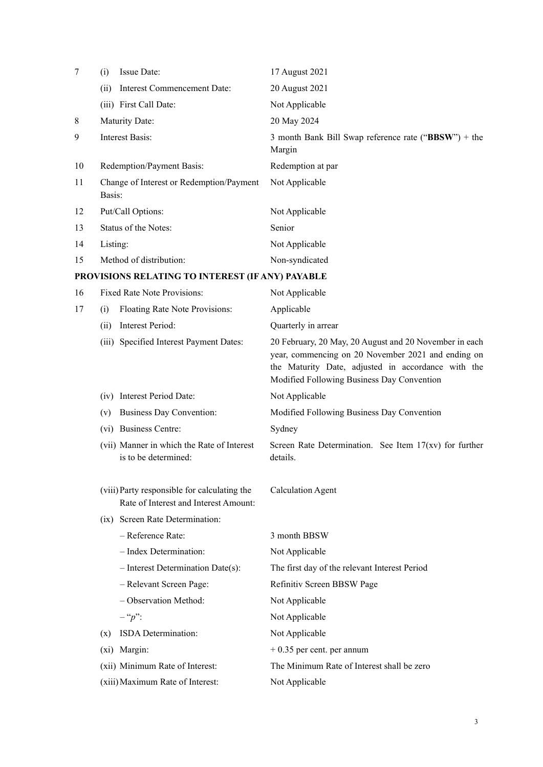| 7  | Issue Date:<br>(i)                                                                    | 17 August 2021                                                                                                                                                                                                   |
|----|---------------------------------------------------------------------------------------|------------------------------------------------------------------------------------------------------------------------------------------------------------------------------------------------------------------|
|    | Interest Commencement Date:<br>(ii)                                                   | 20 August 2021                                                                                                                                                                                                   |
|    | (iii) First Call Date:                                                                | Not Applicable                                                                                                                                                                                                   |
| 8  | Maturity Date:                                                                        | 20 May 2024                                                                                                                                                                                                      |
| 9  | <b>Interest Basis:</b>                                                                | 3 month Bank Bill Swap reference rate (" $BBSW$ ") + the<br>Margin                                                                                                                                               |
| 10 | Redemption/Payment Basis:                                                             | Redemption at par                                                                                                                                                                                                |
| 11 | Change of Interest or Redemption/Payment<br>Basis:                                    | Not Applicable                                                                                                                                                                                                   |
| 12 | Put/Call Options:                                                                     | Not Applicable                                                                                                                                                                                                   |
| 13 | Status of the Notes:                                                                  | Senior                                                                                                                                                                                                           |
| 14 | Listing:                                                                              | Not Applicable                                                                                                                                                                                                   |
| 15 | Method of distribution:                                                               | Non-syndicated                                                                                                                                                                                                   |
|    | PROVISIONS RELATING TO INTEREST (IF ANY) PAYABLE                                      |                                                                                                                                                                                                                  |
| 16 | Fixed Rate Note Provisions:                                                           | Not Applicable                                                                                                                                                                                                   |
| 17 | Floating Rate Note Provisions:<br>(i)                                                 | Applicable                                                                                                                                                                                                       |
|    | Interest Period:<br>(ii)                                                              | Quarterly in arrear                                                                                                                                                                                              |
|    | (iii) Specified Interest Payment Dates:                                               | 20 February, 20 May, 20 August and 20 November in each<br>year, commencing on 20 November 2021 and ending on<br>the Maturity Date, adjusted in accordance with the<br>Modified Following Business Day Convention |
|    | (iv) Interest Period Date:                                                            | Not Applicable                                                                                                                                                                                                   |
|    | <b>Business Day Convention:</b><br>(v)                                                | Modified Following Business Day Convention                                                                                                                                                                       |
|    | (vi) Business Centre:                                                                 | Sydney                                                                                                                                                                                                           |
|    | (vii) Manner in which the Rate of Interest<br>is to be determined:                    | Screen Rate Determination. See Item $17(xv)$ for further<br>details.                                                                                                                                             |
|    | (viii) Party responsible for calculating the<br>Rate of Interest and Interest Amount: | <b>Calculation Agent</b>                                                                                                                                                                                         |
|    | (ix) Screen Rate Determination:                                                       |                                                                                                                                                                                                                  |
|    | - Reference Rate:                                                                     | 3 month BBSW                                                                                                                                                                                                     |
|    | - Index Determination:                                                                | Not Applicable                                                                                                                                                                                                   |
|    | $-$ Interest Determination Date(s):                                                   | The first day of the relevant Interest Period                                                                                                                                                                    |
|    | - Relevant Screen Page:                                                               | Refinitiv Screen BBSW Page                                                                                                                                                                                       |
|    | - Observation Method:                                                                 | Not Applicable                                                                                                                                                                                                   |
|    | $-$ " $p$ ":                                                                          | Not Applicable                                                                                                                                                                                                   |
|    | ISDA Determination:<br>(x)                                                            | Not Applicable                                                                                                                                                                                                   |
|    | (xi) Margin:                                                                          | $+0.35$ per cent. per annum                                                                                                                                                                                      |
|    | (xii) Minimum Rate of Interest:                                                       | The Minimum Rate of Interest shall be zero                                                                                                                                                                       |
|    | (xiii) Maximum Rate of Interest:                                                      | Not Applicable                                                                                                                                                                                                   |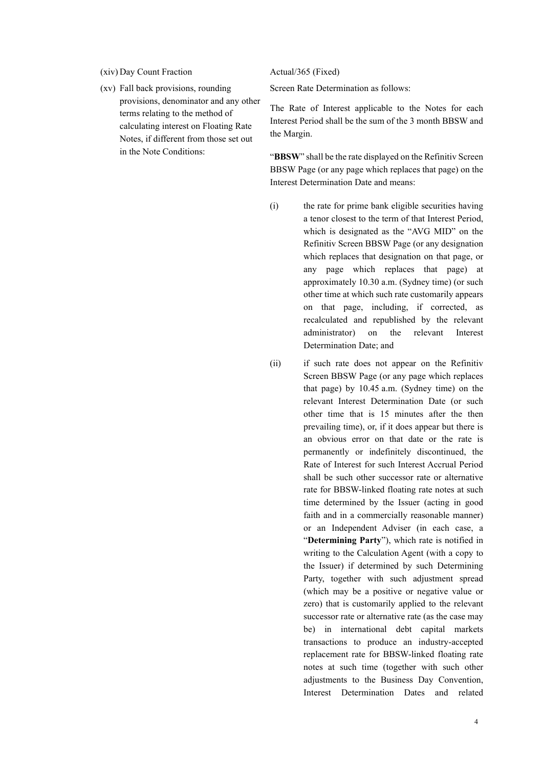#### (xiv) Day Count Fraction Actual/365 (Fixed)

 (xv) Fall back provisions, rounding provisions, denominator and any other terms relating to the method of calculating interest on Floating Rate Notes, if different from those set out in the Note Conditions:

Screen Rate Determination as follows:

The Rate of Interest applicable to the Notes for each Interest Period shall be the sum of the 3 month BBSW and the Margin.

"**BBSW**" shall be the rate displayed on the Refinitiv Screen BBSW Page (or any page which replaces that page) on the Interest Determination Date and means:

- (i) the rate for prime bank eligible securities having a tenor closest to the term of that Interest Period, which is designated as the "AVG MID" on the Refinitiv Screen BBSW Page (or any designation which replaces that designation on that page, or any page which replaces that page) at approximately 10.30 a.m. (Sydney time) (or such other time at which such rate customarily appears on that page, including, if corrected, as recalculated and republished by the relevant administrator) on the relevant Interest Determination Date; and
- (ii) if such rate does not appear on the Refinitiv Screen BBSW Page (or any page which replaces that page) by 10.45 a.m. (Sydney time) on the relevant Interest Determination Date (or such other time that is 15 minutes after the then prevailing time), or, if it does appear but there is an obvious error on that date or the rate is permanently or indefinitely discontinued, the Rate of Interest for such Interest Accrual Period shall be such other successor rate or alternative rate for BBSW-linked floating rate notes at such time determined by the Issuer (acting in good faith and in a commercially reasonable manner) or an Independent Adviser (in each case, a "**Determining Party**"), which rate is notified in writing to the Calculation Agent (with a copy to the Issuer) if determined by such Determining Party, together with such adjustment spread (which may be a positive or negative value or zero) that is customarily applied to the relevant successor rate or alternative rate (as the case may be) in international debt capital markets transactions to produce an industry-accepted replacement rate for BBSW-linked floating rate notes at such time (together with such other adjustments to the Business Day Convention, Interest Determination Dates and related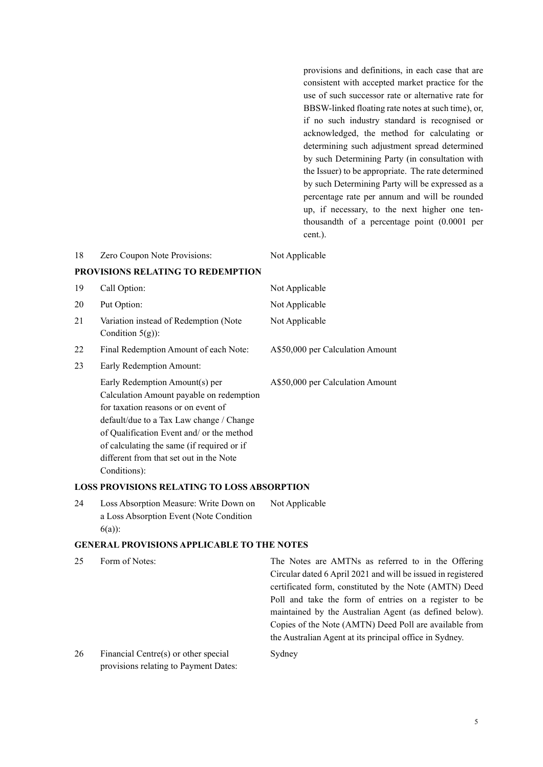provisions and definitions, in each case that are consistent with accepted market practice for the use of such successor rate or alternative rate for BBSW-linked floating rate notes at such time), or, if no such industry standard is recognised or acknowledged, the method for calculating or determining such adjustment spread determined by such Determining Party (in consultation with the Issuer) to be appropriate. The rate determined by such Determining Party will be expressed as a percentage rate per annum and will be rounded up, if necessary, to the next higher one tenthousandth of a percentage point (0.0001 per cent.).

| 18 | Zero Coupon Note Provisions:                                                                                                                                                                                                                                                                                        | Not Applicable                   |
|----|---------------------------------------------------------------------------------------------------------------------------------------------------------------------------------------------------------------------------------------------------------------------------------------------------------------------|----------------------------------|
|    | PROVISIONS RELATING TO REDEMPTION                                                                                                                                                                                                                                                                                   |                                  |
| 19 | Call Option:                                                                                                                                                                                                                                                                                                        | Not Applicable                   |
| 20 | Put Option:                                                                                                                                                                                                                                                                                                         | Not Applicable                   |
| 21 | Variation instead of Redemption (Note<br>Condition $5(g)$ :                                                                                                                                                                                                                                                         | Not Applicable                   |
| 22 | Final Redemption Amount of each Note:                                                                                                                                                                                                                                                                               | A\$50,000 per Calculation Amount |
| 23 | Early Redemption Amount:                                                                                                                                                                                                                                                                                            |                                  |
|    | Early Redemption Amount(s) per<br>Calculation Amount payable on redemption<br>for taxation reasons or on event of<br>default/due to a Tax Law change / Change<br>of Qualification Event and/ or the method<br>of calculating the same (if required or if<br>different from that set out in the Note<br>Conditions): | A\$50,000 per Calculation Amount |
|    | LOGG BROUGLOUG BEL (THIG TO LOGG ) BGOBBT                                                                                                                                                                                                                                                                           |                                  |

### **LOSS PROVISIONS RELATING TO LOSS ABSORPTION**

24 Loss Absorption Measure: Write Down on a Loss Absorption Event (Note Condition 6(a)): Not Applicable

### **GENERAL PROVISIONS APPLICABLE TO THE NOTES**

| Form of Notes:                       | The Notes are AMTNs as referred to in the Offering           |
|--------------------------------------|--------------------------------------------------------------|
|                                      | Circular dated 6 April 2021 and will be issued in registered |
|                                      | certificated form, constituted by the Note (AMTN) Deed       |
|                                      | Poll and take the form of entries on a register to be        |
|                                      | maintained by the Australian Agent (as defined below).       |
|                                      | Copies of the Note (AMTN) Deed Poll are available from       |
|                                      | the Australian Agent at its principal office in Sydney.      |
| Financial Centre(s) or other special | Sydney                                                       |
|                                      |                                                              |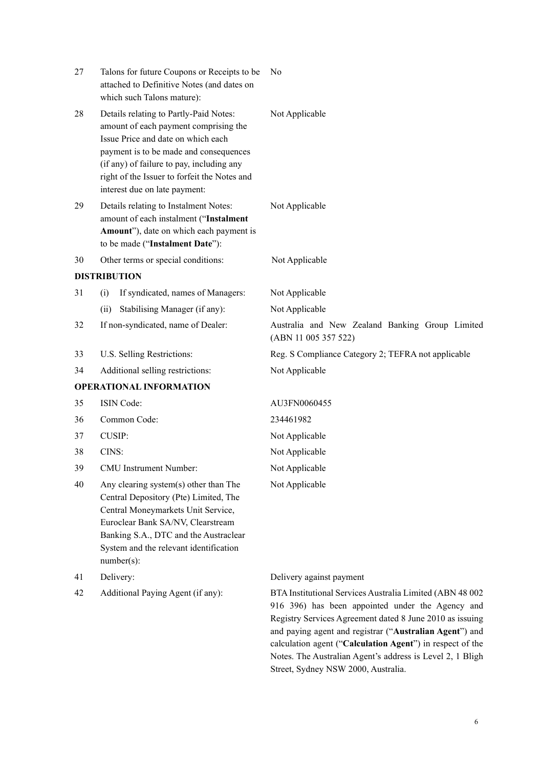| 27 | Talons for future Coupons or Receipts to be<br>attached to Definitive Notes (and dates on<br>which such Talons mature):                                                                                                                                                                       | No                                                                      |
|----|-----------------------------------------------------------------------------------------------------------------------------------------------------------------------------------------------------------------------------------------------------------------------------------------------|-------------------------------------------------------------------------|
| 28 | Details relating to Partly-Paid Notes:<br>amount of each payment comprising the<br>Issue Price and date on which each<br>payment is to be made and consequences<br>(if any) of failure to pay, including any<br>right of the Issuer to forfeit the Notes and<br>interest due on late payment: | Not Applicable                                                          |
| 29 | Details relating to Instalment Notes:<br>amount of each instalment ("Instalment<br>Amount"), date on which each payment is<br>to be made ("Instalment Date"):                                                                                                                                 | Not Applicable                                                          |
| 30 | Other terms or special conditions:                                                                                                                                                                                                                                                            | Not Applicable                                                          |
|    | <b>DISTRIBUTION</b>                                                                                                                                                                                                                                                                           |                                                                         |
| 31 | If syndicated, names of Managers:<br>(i)                                                                                                                                                                                                                                                      | Not Applicable                                                          |
|    | Stabilising Manager (if any):<br>(ii)                                                                                                                                                                                                                                                         | Not Applicable                                                          |
| 32 | If non-syndicated, name of Dealer:                                                                                                                                                                                                                                                            | Australia and New Zealand Banking Group Limited<br>(ABN 11 005 357 522) |
| 33 | U.S. Selling Restrictions:                                                                                                                                                                                                                                                                    | Reg. S Compliance Category 2; TEFRA not applicable                      |
| 34 | Additional selling restrictions:                                                                                                                                                                                                                                                              | Not Applicable                                                          |
|    | <b>OPERATIONAL INFORMATION</b>                                                                                                                                                                                                                                                                |                                                                         |
| 35 | <b>ISIN</b> Code:                                                                                                                                                                                                                                                                             | AU3FN0060455                                                            |
| 36 | Common Code:                                                                                                                                                                                                                                                                                  | 234461982                                                               |
| 37 | <b>CUSIP:</b>                                                                                                                                                                                                                                                                                 | Not Applicable                                                          |
| 38 | CINS:                                                                                                                                                                                                                                                                                         | Not Applicable                                                          |
| 39 | <b>CMU</b> Instrument Number:                                                                                                                                                                                                                                                                 | Not Applicable                                                          |
| 40 | Any clearing system(s) other than The<br>Central Depository (Pte) Limited, The<br>Central Moneymarkets Unit Service,<br>Euroclear Bank SA/NV, Clearstream                                                                                                                                     | Not Applicable                                                          |

number(s):

Banking S.A., DTC and the Austraclear System and the relevant identification

# 41 Delivery: Delivery against payment

42 Additional Paying Agent (if any): BTA Institutional Services Australia Limited (ABN 48 002 916 396) has been appointed under the Agency and Registry Services Agreement dated 8 June 2010 as issuing and paying agent and registrar ("**Australian Agent**") and calculation agent ("**Calculation Agent**") in respect of the Notes. The Australian Agent's address is Level 2, 1 Bligh Street, Sydney NSW 2000, Australia.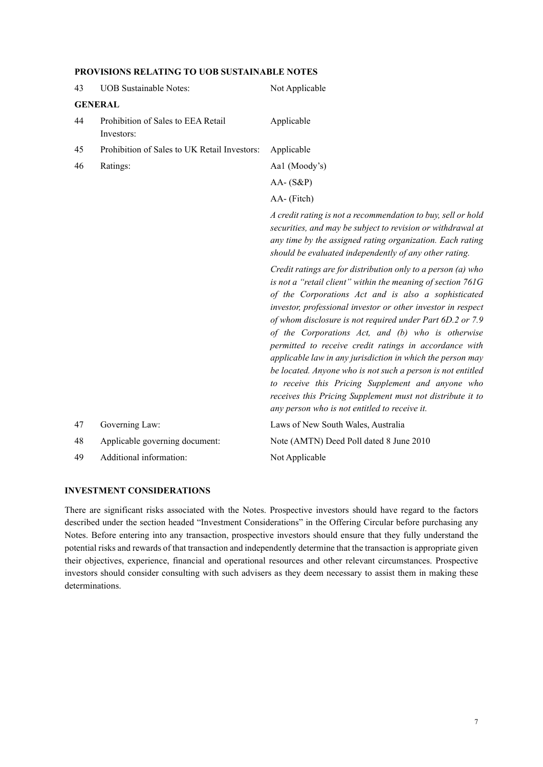|  | PROVISIONS RELATING TO UOB SUSTAINABLE NOTES |
|--|----------------------------------------------|
|--|----------------------------------------------|

| <b>UOB</b> Sustainable Notes:                    | Not Applicable                                                                                                                                                                                                                                                                                                                                                                                                                                                                                                                                                                                                                                                                                                                  |
|--------------------------------------------------|---------------------------------------------------------------------------------------------------------------------------------------------------------------------------------------------------------------------------------------------------------------------------------------------------------------------------------------------------------------------------------------------------------------------------------------------------------------------------------------------------------------------------------------------------------------------------------------------------------------------------------------------------------------------------------------------------------------------------------|
| <b>GENERAL</b>                                   |                                                                                                                                                                                                                                                                                                                                                                                                                                                                                                                                                                                                                                                                                                                                 |
| Prohibition of Sales to EEA Retail<br>Investors: | Applicable                                                                                                                                                                                                                                                                                                                                                                                                                                                                                                                                                                                                                                                                                                                      |
| Prohibition of Sales to UK Retail Investors:     | Applicable                                                                                                                                                                                                                                                                                                                                                                                                                                                                                                                                                                                                                                                                                                                      |
| Ratings:                                         | Aal (Moody's)                                                                                                                                                                                                                                                                                                                                                                                                                                                                                                                                                                                                                                                                                                                   |
|                                                  | $AA - (S\&P)$                                                                                                                                                                                                                                                                                                                                                                                                                                                                                                                                                                                                                                                                                                                   |
|                                                  | AA- (Fitch)                                                                                                                                                                                                                                                                                                                                                                                                                                                                                                                                                                                                                                                                                                                     |
|                                                  | A credit rating is not a recommendation to buy, sell or hold<br>securities, and may be subject to revision or withdrawal at<br>any time by the assigned rating organization. Each rating<br>should be evaluated independently of any other rating.                                                                                                                                                                                                                                                                                                                                                                                                                                                                              |
|                                                  | Credit ratings are for distribution only to a person (a) who<br>is not a "retail client" within the meaning of section 761G<br>of the Corporations Act and is also a sophisticated<br>investor, professional investor or other investor in respect<br>of whom disclosure is not required under Part 6D.2 or 7.9<br>of the Corporations Act, and (b) who is otherwise<br>permitted to receive credit ratings in accordance with<br>applicable law in any jurisdiction in which the person may<br>be located. Anyone who is not such a person is not entitled<br>to receive this Pricing Supplement and anyone who<br>receives this Pricing Supplement must not distribute it to<br>any person who is not entitled to receive it. |
| Governing Law:                                   | Laws of New South Wales, Australia                                                                                                                                                                                                                                                                                                                                                                                                                                                                                                                                                                                                                                                                                              |
| Applicable governing document:                   | Note (AMTN) Deed Poll dated 8 June 2010                                                                                                                                                                                                                                                                                                                                                                                                                                                                                                                                                                                                                                                                                         |
| Additional information:                          | Not Applicable                                                                                                                                                                                                                                                                                                                                                                                                                                                                                                                                                                                                                                                                                                                  |
|                                                  |                                                                                                                                                                                                                                                                                                                                                                                                                                                                                                                                                                                                                                                                                                                                 |

#### **INVESTMENT CONSIDERATIONS**

There are significant risks associated with the Notes. Prospective investors should have regard to the factors described under the section headed "Investment Considerations" in the Offering Circular before purchasing any Notes. Before entering into any transaction, prospective investors should ensure that they fully understand the potential risks and rewards of that transaction and independently determine that the transaction is appropriate given their objectives, experience, financial and operational resources and other relevant circumstances. Prospective investors should consider consulting with such advisers as they deem necessary to assist them in making these determinations.